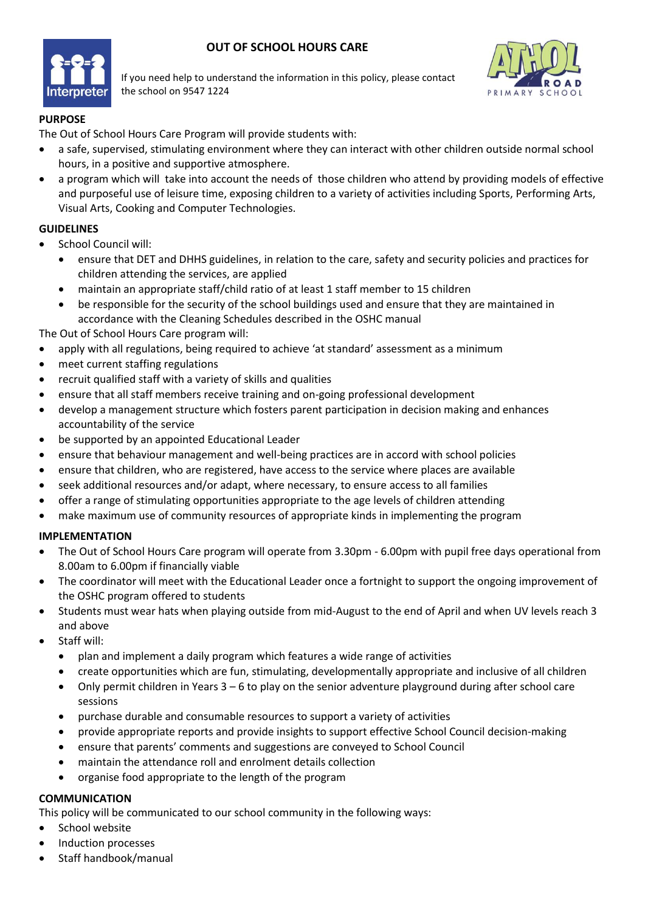## **OUT OF SCHOOL HOURS CARE**



If you need help to understand the information in this policy, please contact the school on 9547 1224



## **PURPOSE**

The Out of School Hours Care Program will provide students with:

- a safe, supervised, stimulating environment where they can interact with other children outside normal school hours, in a positive and supportive atmosphere.
- a program which will take into account the needs of those children who attend by providing models of effective and purposeful use of leisure time, exposing children to a variety of activities including Sports, Performing Arts, Visual Arts, Cooking and Computer Technologies.

## **GUIDELINES**

- School Council will:
	- ensure that DET and DHHS guidelines, in relation to the care, safety and security policies and practices for children attending the services, are applied
	- maintain an appropriate staff/child ratio of at least 1 staff member to 15 children
	- be responsible for the security of the school buildings used and ensure that they are maintained in accordance with the Cleaning Schedules described in the OSHC manual

The Out of School Hours Care program will:

- apply with all regulations, being required to achieve 'at standard' assessment as a minimum
- meet current staffing regulations
- recruit qualified staff with a variety of skills and qualities
- ensure that all staff members receive training and on-going professional development
- develop a management structure which fosters parent participation in decision making and enhances accountability of the service
- be supported by an appointed Educational Leader
- ensure that behaviour management and well-being practices are in accord with school policies
- ensure that children, who are registered, have access to the service where places are available
- seek additional resources and/or adapt, where necessary, to ensure access to all families
- offer a range of stimulating opportunities appropriate to the age levels of children attending
- make maximum use of community resources of appropriate kinds in implementing the program

#### **IMPLEMENTATION**

- The Out of School Hours Care program will operate from 3.30pm 6.00pm with pupil free days operational from 8.00am to 6.00pm if financially viable
- The coordinator will meet with the Educational Leader once a fortnight to support the ongoing improvement of the OSHC program offered to students
- Students must wear hats when playing outside from mid-August to the end of April and when UV levels reach 3 and above
- Staff will:
	- plan and implement a daily program which features a wide range of activities
	- create opportunities which are fun, stimulating, developmentally appropriate and inclusive of all children
	- Only permit children in Years 3 6 to play on the senior adventure playground during after school care sessions
	- purchase durable and consumable resources to support a variety of activities
	- provide appropriate reports and provide insights to support effective School Council decision-making
	- ensure that parents' comments and suggestions are conveyed to School Council
	- maintain the attendance roll and enrolment details collection
	- organise food appropriate to the length of the program

#### **COMMUNICATION**

This policy will be communicated to our school community in the following ways:

- School website
- Induction processes
- Staff handbook/manual